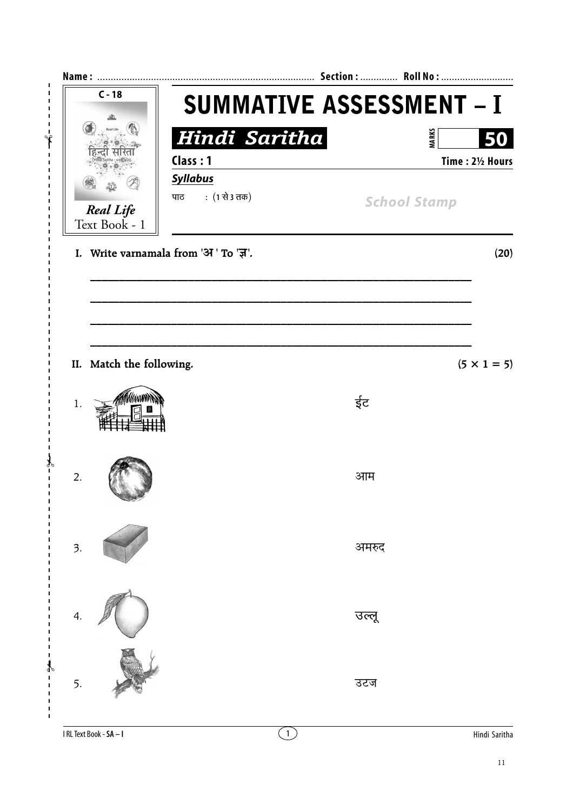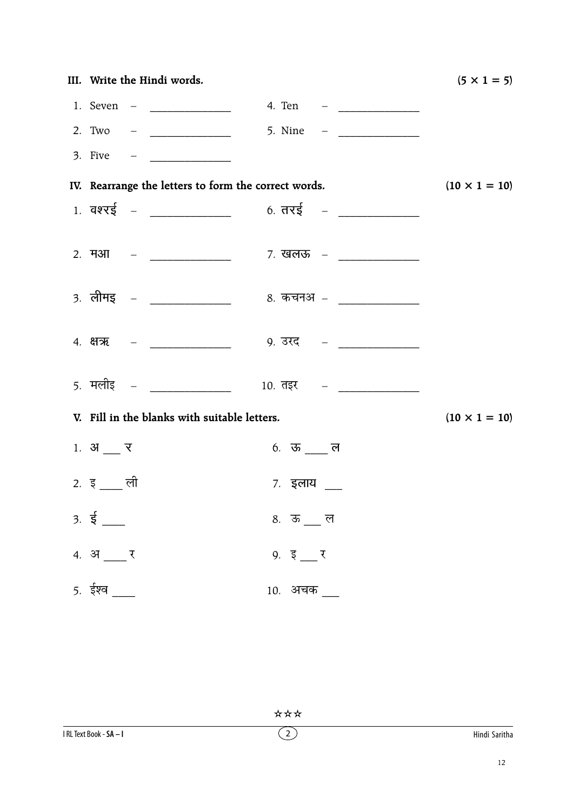| III. Write the Hindi words.                          |                                                   | $(5 \times 1 = 5)$   |
|------------------------------------------------------|---------------------------------------------------|----------------------|
|                                                      |                                                   |                      |
|                                                      |                                                   |                      |
|                                                      |                                                   |                      |
| IV. Rearrange the letters to form the correct words. | $(10 \times 1 = 10)$                              |                      |
| $1.$ वश्रई – ____________                            | $6.775 -$                                         |                      |
|                                                      |                                                   |                      |
|                                                      | 3. लीमइ – _______________ 8. कचनअ – _____________ |                      |
|                                                      |                                                   |                      |
|                                                      | 5. मलीइ – _______________ 10. तइर – ____________  |                      |
| V. Fill in the blanks with suitable letters.         |                                                   | $(10 \times 1 = 10)$ |
| 1. $31$ $7$                                          | $6.$ ऊ ___ ल                                      |                      |
| 2. इ $\frac{1}{2}$ ली                                | ७. इलाय                                           |                      |
| $3.5 =$                                              | 8.  ऊ ___ ल                                       |                      |
| 4. अ $\frac{1}{2}$ र                                 | $9. \, \bar{\xi}$ $\bar{\xi}$                     |                      |
| $5.$ ईश्व $\_\_$                                     | 10. अचक __                                        |                      |

\*\*\*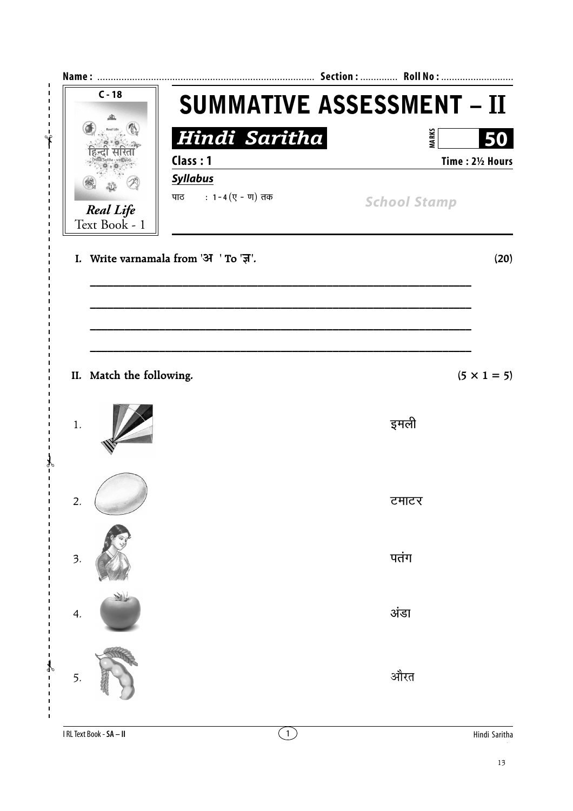

I RL Text Book - SA - II

 $\bigcirc$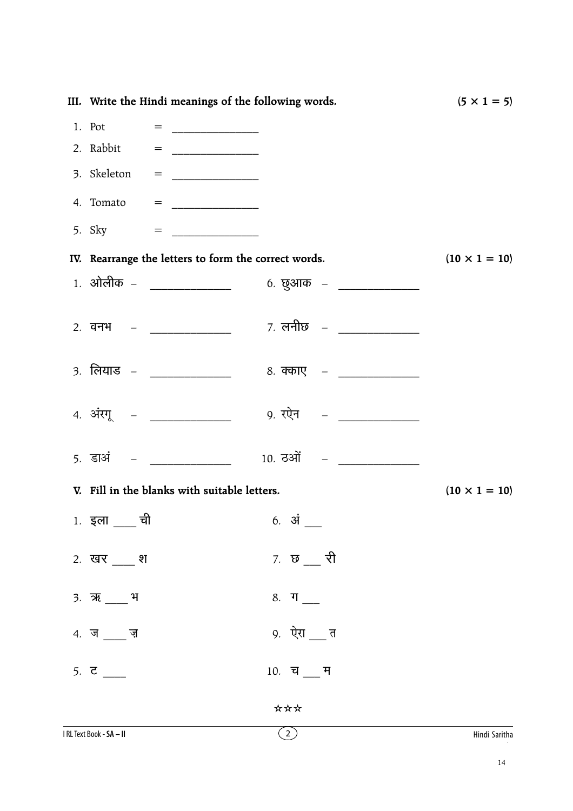| III. Write the Hindi meanings of the following words. |                                                          | $(5 \times 1 = 5)$                                                                                                                                                                                                                                                                                                                                                                                                  |                      |
|-------------------------------------------------------|----------------------------------------------------------|---------------------------------------------------------------------------------------------------------------------------------------------------------------------------------------------------------------------------------------------------------------------------------------------------------------------------------------------------------------------------------------------------------------------|----------------------|
|                                                       | 1. Pot<br>=                                              |                                                                                                                                                                                                                                                                                                                                                                                                                     |                      |
|                                                       | 2. Rabbit                                                | $=$                                                                                                                                                                                                                                                                                                                                                                                                                 |                      |
|                                                       |                                                          | 3. Skeleton = $\frac{1}{2}$                                                                                                                                                                                                                                                                                                                                                                                         |                      |
|                                                       |                                                          | 4. Tomato = $\frac{1}{\sqrt{1-\frac{1}{2}}}\frac{1}{\sqrt{1-\frac{1}{2}}}\frac{1}{\sqrt{1-\frac{1}{2}}}\frac{1}{\sqrt{1-\frac{1}{2}}}\frac{1}{\sqrt{1-\frac{1}{2}}}\frac{1}{\sqrt{1-\frac{1}{2}}}\frac{1}{\sqrt{1-\frac{1}{2}}}\frac{1}{\sqrt{1-\frac{1}{2}}}\frac{1}{\sqrt{1-\frac{1}{2}}}\frac{1}{\sqrt{1-\frac{1}{2}}}\frac{1}{\sqrt{1-\frac{1}{2}}}\frac{1}{\sqrt{1-\frac{1}{2}}}\frac{1}{\sqrt{1-\frac{1}{2}}$ |                      |
|                                                       | 5. Sky                                                   | $\, =\,$ . The contract of $\,$                                                                                                                                                                                                                                                                                                                                                                                     |                      |
|                                                       |                                                          | IV. Rearrange the letters to form the correct words.                                                                                                                                                                                                                                                                                                                                                                | $(10 \times 1 = 10)$ |
|                                                       |                                                          | 1. ओलीक – ______________<br>6. छुआक – _____________                                                                                                                                                                                                                                                                                                                                                                 |                      |
|                                                       |                                                          |                                                                                                                                                                                                                                                                                                                                                                                                                     |                      |
|                                                       |                                                          | 3. लियाड – ________________ 8. क्काए – ____________                                                                                                                                                                                                                                                                                                                                                                 |                      |
|                                                       | 4. अंरगू – ___________                                   | 9. रऐन     – <sub>—</sub> ____________                                                                                                                                                                                                                                                                                                                                                                              |                      |
|                                                       | <u> 5. डाअं – पार्टी के पार्टी के पार्टी के पार्टी क</u> |                                                                                                                                                                                                                                                                                                                                                                                                                     |                      |
|                                                       |                                                          | V. Fill in the blanks with suitable letters.                                                                                                                                                                                                                                                                                                                                                                        | $(10 \times 1 = 10)$ |
|                                                       | ची<br>1. इला                                             | 6. अं                                                                                                                                                                                                                                                                                                                                                                                                               |                      |
|                                                       | 2. खर ___ श                                              | 7. छ $\frac{1}{2}$ री                                                                                                                                                                                                                                                                                                                                                                                               |                      |
|                                                       | 3. ऋ ____ भ                                              | $8.$ ग_                                                                                                                                                                                                                                                                                                                                                                                                             |                      |
|                                                       | $4. \n\bar{a}$ $\bar{a}$                                 | 9. ऐरा __ त                                                                                                                                                                                                                                                                                                                                                                                                         |                      |
|                                                       | 5. $\vec{c}$ ___                                         | $10.$ च $\_\$ म                                                                                                                                                                                                                                                                                                                                                                                                     |                      |
|                                                       |                                                          | ***                                                                                                                                                                                                                                                                                                                                                                                                                 |                      |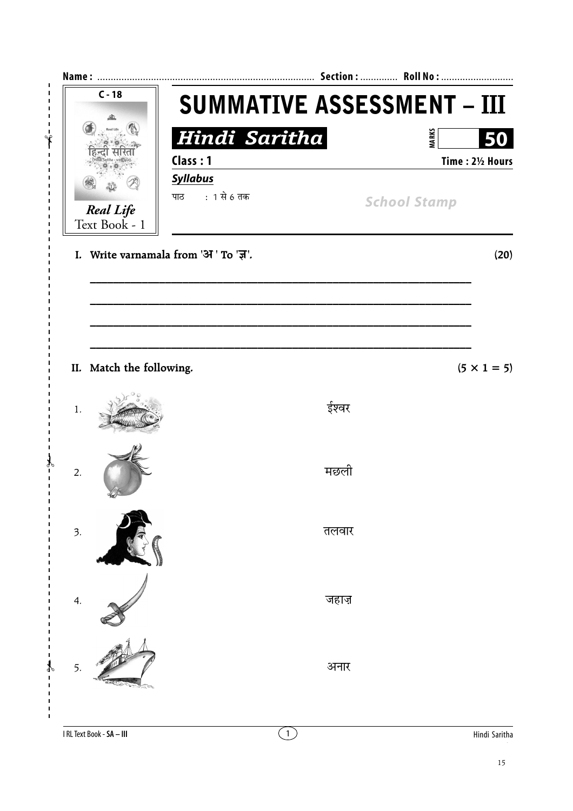

I RL Text Book - SA - III

 $\overline{1}$ 

 $\overline{\phantom{a}}$  $\overline{\phantom{a}}$ 

 $\bigcirc$